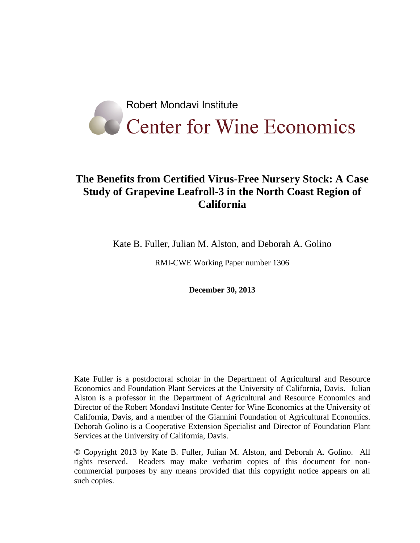

# **The Benefits from Certified Virus-Free Nursery Stock: A Case Study of Grapevine Leafroll-3 in the North Coast Region of California**

Kate B. Fuller, Julian M. Alston, and Deborah A. Golino

RMI-CWE Working Paper number 1306

**December 30, 2013**

Kate Fuller is a postdoctoral scholar in the Department of Agricultural and Resource Economics and Foundation Plant Services at the University of California, Davis. Julian Alston is a professor in the Department of Agricultural and Resource Economics and Director of the Robert Mondavi Institute Center for Wine Economics at the University of California, Davis, and a member of the Giannini Foundation of Agricultural Economics. Deborah Golino is a Cooperative Extension Specialist and Director of Foundation Plant Services at the University of California, Davis.

© Copyright 2013 by Kate B. Fuller, Julian M. Alston, and Deborah A. Golino. All rights reserved. Readers may make verbatim copies of this document for noncommercial purposes by any means provided that this copyright notice appears on all such copies.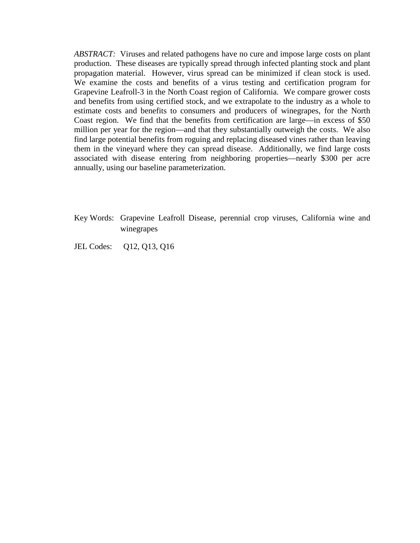*ABSTRACT:* Viruses and related pathogens have no cure and impose large costs on plant production. These diseases are typically spread through infected planting stock and plant propagation material. However, virus spread can be minimized if clean stock is used. We examine the costs and benefits of a virus testing and certification program for Grapevine Leafroll-3 in the North Coast region of California. We compare grower costs and benefits from using certified stock, and we extrapolate to the industry as a whole to estimate costs and benefits to consumers and producers of winegrapes, for the North Coast region. We find that the benefits from certification are large—in excess of \$50 million per year for the region—and that they substantially outweigh the costs. We also find large potential benefits from roguing and replacing diseased vines rather than leaving them in the vineyard where they can spread disease. Additionally, we find large costs associated with disease entering from neighboring properties—nearly \$300 per acre annually, using our baseline parameterization.

- Key Words: Grapevine Leafroll Disease, perennial crop viruses, California wine and winegrapes
- JEL Codes: Q12, Q13, Q16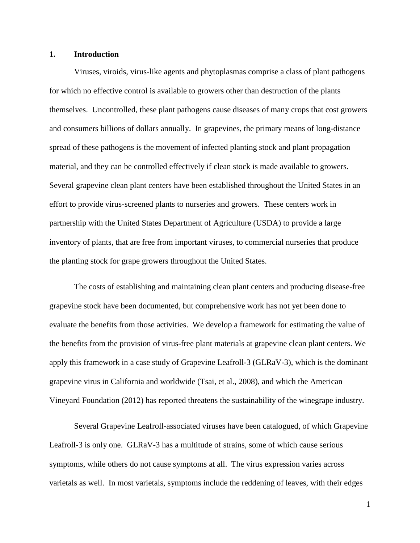## **1. Introduction**

Viruses, viroids, virus-like agents and phytoplasmas comprise a class of plant pathogens for which no effective control is available to growers other than destruction of the plants themselves. Uncontrolled, these plant pathogens cause diseases of many crops that cost growers and consumers billions of dollars annually. In grapevines, the primary means of long-distance spread of these pathogens is the movement of infected planting stock and plant propagation material, and they can be controlled effectively if clean stock is made available to growers. Several grapevine clean plant centers have been established throughout the United States in an effort to provide virus-screened plants to nurseries and growers. These centers work in partnership with the United States Department of Agriculture (USDA) to provide a large inventory of plants, that are free from important viruses, to commercial nurseries that produce the planting stock for grape growers throughout the United States.

The costs of establishing and maintaining clean plant centers and producing disease-free grapevine stock have been documented, but comprehensive work has not yet been done to evaluate the benefits from those activities. We develop a framework for estimating the value of the benefits from the provision of virus-free plant materials at grapevine clean plant centers. We apply this framework in a case study of Grapevine Leafroll-3 (GLRaV-3), which is the dominant grapevine virus in California and worldwide [\(Tsai, et al., 2008\)](#page-24-0), and which the American Vineyard Foundation [\(2012\)](#page-23-0) has reported threatens the sustainability of the winegrape industry.

Several Grapevine Leafroll-associated viruses have been catalogued, of which Grapevine Leafroll-3 is only one. GLRaV-3 has a multitude of strains, some of which cause serious symptoms, while others do not cause symptoms at all. The virus expression varies across varietals as well. In most varietals, symptoms include the reddening of leaves, with their edges

1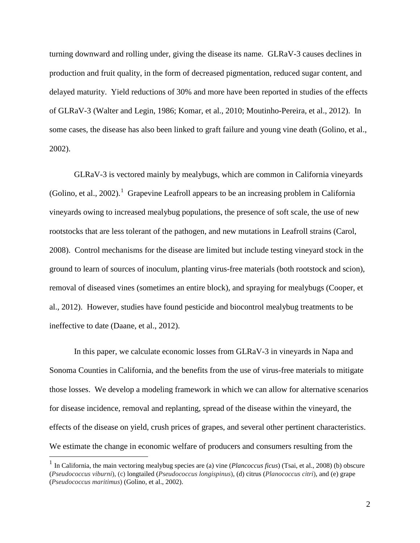turning downward and rolling under, giving the disease its name. GLRaV-3 causes declines in production and fruit quality, in the form of decreased pigmentation, reduced sugar content, and delayed maturity. Yield reductions of 30% and more have been reported in studies of the effects of GLRaV-3 [\(Walter and Legin, 1986;](#page-25-0) [Komar, et al., 2010;](#page-24-1) [Moutinho-Pereira, et al., 2012\)](#page-24-2). In some cases, the disease has also been linked to graft failure and young vine death [\(Golino, et al.,](#page-24-3)  [2002\)](#page-24-3).

GLRaV-3 is vectored mainly by mealybugs, which are common in California vineyards [\(Golino, et al., 2002\)](#page-24-3).<sup>[1](#page-3-0)</sup> Grapevine Leafroll appears to be an increasing problem in California vineyards owing to increased mealybug populations, the presence of soft scale, the use of new rootstocks that are less tolerant of the pathogen, and new mutations in Leafroll strains [\(Carol,](#page-23-1)  [2008\)](#page-23-1). Control mechanisms for the disease are limited but include testing vineyard stock in the ground to learn of sources of inoculum, planting virus-free materials (both rootstock and scion), removal of diseased vines (sometimes an entire block), and spraying for mealybugs [\(Cooper, et](#page-24-4)  [al., 2012\)](#page-24-4). However, studies have found pesticide and biocontrol mealybug treatments to be ineffective to date [\(Daane, et al., 2012\)](#page-24-5).

In this paper, we calculate economic losses from GLRaV-3 in vineyards in Napa and Sonoma Counties in California, and the benefits from the use of virus-free materials to mitigate those losses. We develop a modeling framework in which we can allow for alternative scenarios for disease incidence, removal and replanting, spread of the disease within the vineyard, the effects of the disease on yield, crush prices of grapes, and several other pertinent characteristics. We estimate the change in economic welfare of producers and consumers resulting from the

<span id="page-3-0"></span> <sup>1</sup> In California, the main vectoring mealybug species are (a) vine (*Plancoccus ficus*) [\(Tsai, et al., 2008\)](#page-24-0) (b) obscure (*Pseudococcus viburni*), (c) longtailed (*Pseudococcus longispinus*), (d) citrus (*Planococcus citri*), and (e) grape (*Pseudococcus maritimus*) [\(Golino, et al., 2002\)](#page-24-3).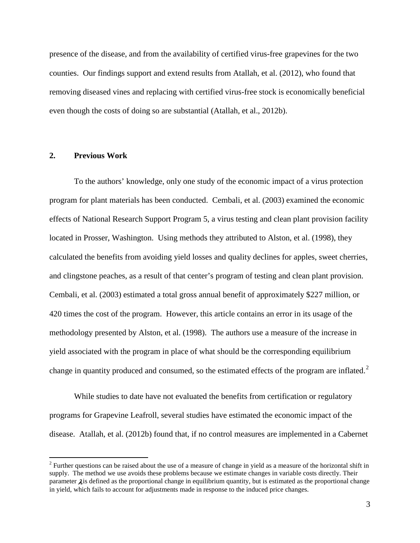presence of the disease, and from the availability of certified virus-free grapevines for the two counties. Our findings support and extend results from Atallah, et al. [\(2012\)](#page-24-6), who found that removing diseased vines and replacing with certified virus-free stock is economically beneficial even though the costs of doing so are substantial [\(Atallah, et al., 2012b\)](#page-23-2).

## **2. Previous Work**

To the authors' knowledge, only one study of the economic impact of a virus protection program for plant materials has been conducted. Cembali, et al. [\(2003\)](#page-23-3) examined the economic effects of National Research Support Program 5, a virus testing and clean plant provision facility located in Prosser, Washington. Using methods they attributed to Alston, et al. [\(1998\)](#page-23-4), they calculated the benefits from avoiding yield losses and quality declines for apples, sweet cherries, and clingstone peaches, as a result of that center's program of testing and clean plant provision. Cembali, et al. [\(2003\)](#page-23-3) estimated a total gross annual benefit of approximately \$227 million, or 420 times the cost of the program. However, this article contains an error in its usage of the methodology presented by Alston, et al. [\(1998\)](#page-23-4). The authors use a measure of the increase in yield associated with the program in place of what should be the corresponding equilibrium change in quantity produced and consumed, so the estimated effects of the program are inflated.<sup>[2](#page-4-0)</sup>

While studies to date have not evaluated the benefits from certification or regulatory programs for Grapevine Leafroll, several studies have estimated the economic impact of the disease. Atallah, et al. [\(2012b\)](#page-23-2) found that, if no control measures are implemented in a Cabernet

<span id="page-4-0"></span> $2$  Further questions can be raised about the use of a measure of change in yield as a measure of the horizontal shift in supply. The method we use avoids these problems because we estimate changes in variable costs directly. Their parameter  $\lambda$  is defined as the proportional change in equilibrium quantity, but is estimated as the proportional change in yield, which fails to account for adjustments made in response to the induced price changes.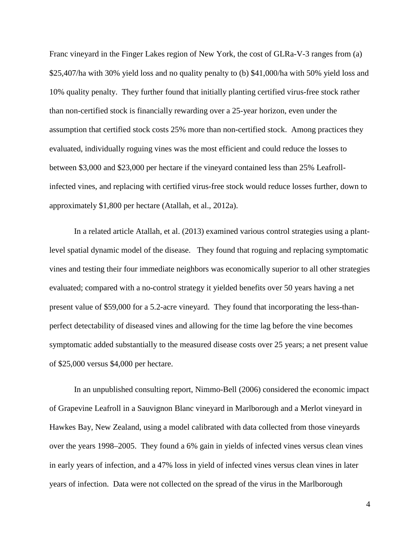Franc vineyard in the Finger Lakes region of New York, the cost of GLRa-V-3 ranges from (a) \$25,407/ha with 30% yield loss and no quality penalty to (b) \$41,000/ha with 50% yield loss and 10% quality penalty. They further found that initially planting certified virus-free stock rather than non-certified stock is financially rewarding over a 25-year horizon, even under the assumption that certified stock costs 25% more than non-certified stock. Among practices they evaluated, individually roguing vines was the most efficient and could reduce the losses to between \$3,000 and \$23,000 per hectare if the vineyard contained less than 25% Leafrollinfected vines, and replacing with certified virus-free stock would reduce losses further, down to approximately \$1,800 per hectare [\(Atallah, et al., 2012a\)](#page-23-5).

In a related article Atallah, et al. [\(2013\)](#page-23-6) examined various control strategies using a plantlevel spatial dynamic model of the disease. They found that roguing and replacing symptomatic vines and testing their four immediate neighbors was economically superior to all other strategies evaluated; compared with a no-control strategy it yielded benefits over 50 years having a net present value of \$59,000 for a 5.2-acre vineyard. They found that incorporating the less-thanperfect detectability of diseased vines and allowing for the time lag before the vine becomes symptomatic added substantially to the measured disease costs over 25 years; a net present value of \$25,000 versus \$4,000 per hectare.

In an unpublished consulting report, Nimmo-Bell [\(2006\)](#page-24-7) considered the economic impact of Grapevine Leafroll in a Sauvignon Blanc vineyard in Marlborough and a Merlot vineyard in Hawkes Bay, New Zealand, using a model calibrated with data collected from those vineyards over the years 1998–2005. They found a 6% gain in yields of infected vines versus clean vines in early years of infection, and a 47% loss in yield of infected vines versus clean vines in later years of infection. Data were not collected on the spread of the virus in the Marlborough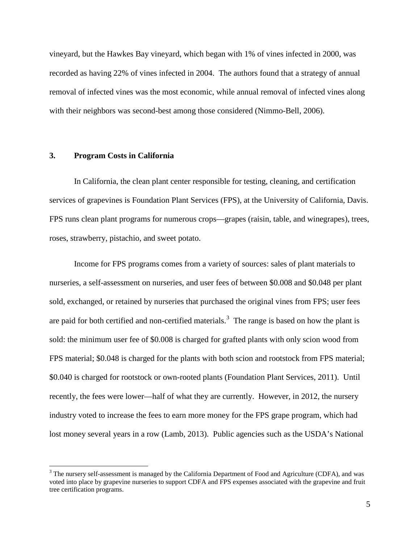vineyard, but the Hawkes Bay vineyard, which began with 1% of vines infected in 2000, was recorded as having 22% of vines infected in 2004. The authors found that a strategy of annual removal of infected vines was the most economic, while annual removal of infected vines along with their neighbors was second-best among those considered [\(Nimmo-Bell, 2006\)](#page-24-7).

## **3. Program Costs in California**

In California, the clean plant center responsible for testing, cleaning, and certification services of grapevines is Foundation Plant Services (FPS), at the University of California, Davis. FPS runs clean plant programs for numerous crops—grapes (raisin, table, and winegrapes), trees, roses, strawberry, pistachio, and sweet potato.

Income for FPS programs comes from a variety of sources: sales of plant materials to nurseries, a self-assessment on nurseries, and user fees of between \$0.008 and \$0.048 per plant sold, exchanged, or retained by nurseries that purchased the original vines from FPS; user fees are paid for both certified and non-certified materials.<sup>[3](#page-6-0)</sup> The range is based on how the plant is sold: the minimum user fee of \$0.008 is charged for grafted plants with only scion wood from FPS material; \$0.048 is charged for the plants with both scion and rootstock from FPS material; \$0.040 is charged for rootstock or own-rooted plants [\(Foundation Plant Services, 2011\)](#page-24-8). Until recently, the fees were lower—half of what they are currently. However, in 2012, the nursery industry voted to increase the fees to earn more money for the FPS grape program, which had lost money several years in a row [\(Lamb, 2013\)](#page-24-9). Public agencies such as the USDA's National

<span id="page-6-0"></span><sup>&</sup>lt;sup>3</sup> The nursery self-assessment is managed by the California Department of Food and Agriculture (CDFA), and was voted into place by grapevine nurseries to support CDFA and FPS expenses associated with the grapevine and fruit tree certification programs.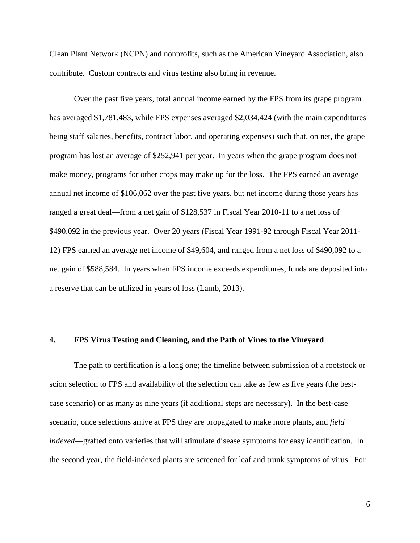Clean Plant Network (NCPN) and nonprofits, such as the American Vineyard Association, also contribute. Custom contracts and virus testing also bring in revenue.

Over the past five years, total annual income earned by the FPS from its grape program has averaged \$1,781,483, while FPS expenses averaged \$2,034,424 (with the main expenditures being staff salaries, benefits, contract labor, and operating expenses) such that, on net, the grape program has lost an average of \$252,941 per year. In years when the grape program does not make money, programs for other crops may make up for the loss. The FPS earned an average annual net income of \$106,062 over the past five years, but net income during those years has ranged a great deal—from a net gain of \$128,537 in Fiscal Year 2010-11 to a net loss of \$490,092 in the previous year. Over 20 years (Fiscal Year 1991-92 through Fiscal Year 2011- 12) FPS earned an average net income of \$49,604, and ranged from a net loss of \$490,092 to a net gain of \$588,584. In years when FPS income exceeds expenditures, funds are deposited into a reserve that can be utilized in years of loss [\(Lamb, 2013\)](#page-24-9).

# **4. FPS Virus Testing and Cleaning, and the Path of Vines to the Vineyard**

The path to certification is a long one; the timeline between submission of a rootstock or scion selection to FPS and availability of the selection can take as few as five years (the bestcase scenario) or as many as nine years (if additional steps are necessary). In the best-case scenario, once selections arrive at FPS they are propagated to make more plants, and *field indexed*—grafted onto varieties that will stimulate disease symptoms for easy identification. In the second year, the field-indexed plants are screened for leaf and trunk symptoms of virus. For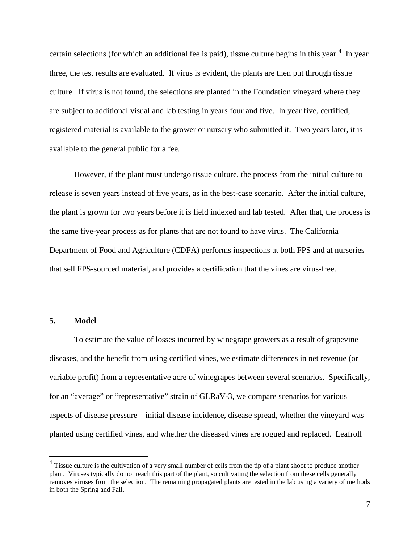certain selections (for which an additional fee is paid), tissue culture begins in this year.<sup>[4](#page-8-0)</sup> In year three, the test results are evaluated. If virus is evident, the plants are then put through tissue culture. If virus is not found, the selections are planted in the Foundation vineyard where they are subject to additional visual and lab testing in years four and five. In year five, certified, registered material is available to the grower or nursery who submitted it. Two years later, it is available to the general public for a fee.

However, if the plant must undergo tissue culture, the process from the initial culture to release is seven years instead of five years, as in the best-case scenario. After the initial culture, the plant is grown for two years before it is field indexed and lab tested. After that, the process is the same five-year process as for plants that are not found to have virus. The California Department of Food and Agriculture (CDFA) performs inspections at both FPS and at nurseries that sell FPS-sourced material, and provides a certification that the vines are virus-free.

## **5. Model**

To estimate the value of losses incurred by winegrape growers as a result of grapevine diseases, and the benefit from using certified vines, we estimate differences in net revenue (or variable profit) from a representative acre of winegrapes between several scenarios. Specifically, for an "average" or "representative" strain of GLRaV-3, we compare scenarios for various aspects of disease pressure—initial disease incidence, disease spread, whether the vineyard was planted using certified vines, and whether the diseased vines are rogued and replaced. Leafroll

<span id="page-8-0"></span><sup>&</sup>lt;sup>4</sup> Tissue culture is the cultivation of a very small number of cells from the tip of a plant shoot to produce another plant. Viruses typically do not reach this part of the plant, so cultivating the selection from these cells generally removes viruses from the selection. The remaining propagated plants are tested in the lab using a variety of methods in both the Spring and Fall.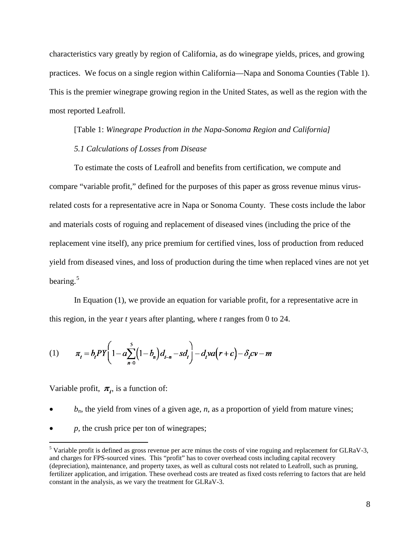characteristics vary greatly by region of California, as do winegrape yields, prices, and growing practices. We focus on a single region within California—Napa and Sonoma Counties (Table 1). This is the premier winegrape growing region in the United States, as well as the region with the most reported Leafroll.

[Table 1: *Winegrape Production in the Napa-Sonoma Region and California] 5.1 Calculations of Losses from Disease*

To estimate the costs of Leafroll and benefits from certification, we compute and compare "variable profit," defined for the purposes of this paper as gross revenue minus virusrelated costs for a representative acre in Napa or Sonoma County. These costs include the labor and materials costs of roguing and replacement of diseased vines (including the price of the replacement vine itself), any price premium for certified vines, loss of production from reduced yield from diseased vines, and loss of production during the time when replaced vines are not yet bearing.<sup>[5](#page-9-0)</sup>

In Equation (1), we provide an equation for variable profit, for a representative acre in this region, in the year *t* years after planting*,* where *t* ranges from 0 to 24.

(1) 
$$
\pi_{t} = b_{t}PY\left(1-a\sum_{n=0}^{5} (1-b_{n})d_{t-n} - sd_{t}\right) - d_{t}va(r+c) - \delta_{t}cv - m
$$

Variable profit,  $\pi_t$ , is a function of:

- $b_n$ , the yield from vines of a given age, *n*, as a proportion of yield from mature vines;
- *p,* the crush price per ton of winegrapes;

<span id="page-9-0"></span> $<sup>5</sup>$  Variable profit is defined as gross revenue per acre minus the costs of vine roguing and replacement for GLRaV-3,</sup> and charges for FPS-sourced vines. This "profit" has to cover overhead costs including capital recovery (depreciation), maintenance, and property taxes, as well as cultural costs not related to Leafroll, such as pruning, fertilizer application, and irrigation. These overhead costs are treated as fixed costs referring to factors that are held constant in the analysis, as we vary the treatment for GLRaV-3.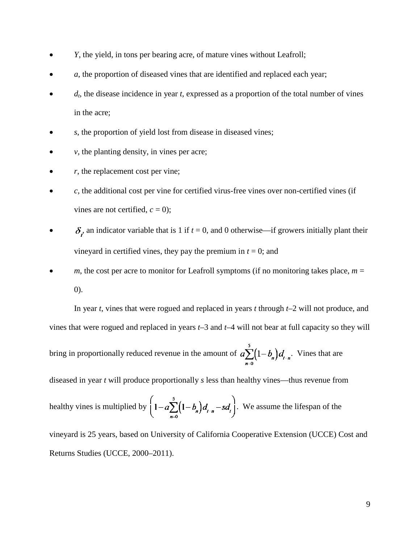- *Y*, the yield, in tons per bearing acre, of mature vines without Leafroll;
- a, the proportion of diseased vines that are identified and replaced each year;
- *dt*, the disease incidence in year *t*, expressed as a proportion of the total number of vines in the acre;
- *s*, the proportion of yield lost from disease in diseased vines;
- $\nu$ , the planting density, in vines per acre;
- $r$ , the replacement cost per vine;
- *c*, the additional cost per vine for certified virus-free vines over non-certified vines (if vines are not certified,  $c = 0$ );
- $\delta_t$  an indicator variable that is 1 if  $t = 0$ , and 0 otherwise—if growers initially plant their vineyard in certified vines, they pay the premium in  $t = 0$ ; and
- *m*, the cost per acre to monitor for Leafroll symptoms (if no monitoring takes place,  $m =$ 0).

In year *t*, vines that were rogued and replaced in years *t* through *t–*2 will not produce, and vines that were rogued and replaced in years *t–*3 and *t*–4 will not bear at full capacity so they will bring in proportionally reduced revenue in the amount of  $a \sum_{n=0}^{5} (1-b_n)d_{t-n}$ . Vines that are diseased in year *t* will produce proportionally *s* less than healthy vines—thus revenue from

healthy vines is multiplied by 
$$
\left(1-a\sum_{n=0}^{5}(1-b_n)d_{t-n}-sd_t\right)
$$
. We assume the lifespan of the

vineyard is 25 years, based on University of California Cooperative Extension (UCCE) Cost and Returns Studies (UCCE, 2000–2011).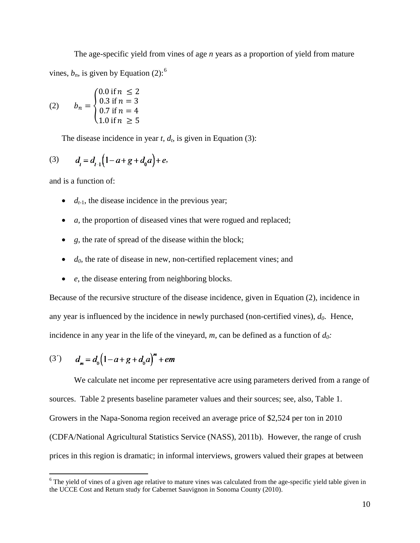The age-specific yield from vines of age *n* years as a proportion of yield from mature vines,  $b_n$ , is given by Equation (2):<sup>[6](#page-11-0)</sup>

(2) 
$$
b_n = \begin{cases} 0.0 \text{ if } n \leq 2 \\ 0.3 \text{ if } n = 3 \\ 0.7 \text{ if } n = 4 \\ 1.0 \text{ if } n \geq 5 \end{cases}
$$

The disease incidence in year  $t$ ,  $d_t$ , is given in Equation (3):

(3) 
$$
d_t = d_{t-1}(1-a+g+d_0a) + e
$$
,

and is a function of:

- $\bullet$   $d_{t-1}$ , the disease incidence in the previous year;
- *a,* the proportion of diseased vines that were rogued and replaced;
- *g*, the rate of spread of the disease within the block;
- $\bullet$  *d*<sub>0</sub>, the rate of disease in new, non-certified replacement vines; and
- *e*, the disease entering from neighboring blocks.

Because of the recursive structure of the disease incidence, given in Equation (2), incidence in any year is influenced by the incidence in newly purchased (non-certified vines), *d0*. Hence, incidence in any year in the life of the vineyard,  $m$ , can be defined as a function of  $d_0$ :

(3') 
$$
d_m = d_0 \left(1 - a + g + d_0 a\right)^m + em
$$

We calculate net income per representative acre using parameters derived from a range of sources. Table 2 presents baseline parameter values and their sources; see, also, Table 1. Growers in the Napa-Sonoma region received an average price of \$2,524 per ton in 2010 (CDFA/National Agricultural Statistics Service (NASS), 2011b). However, the range of crush prices in this region is dramatic; in informal interviews, growers valued their grapes at between

<span id="page-11-0"></span> $6$  The yield of vines of a given age relative to mature vines was calculated from the age-specific yield table given in the UCCE Cost and Return study for Cabernet Sauvignon in Sonoma County [\(2010\)](#page-25-1).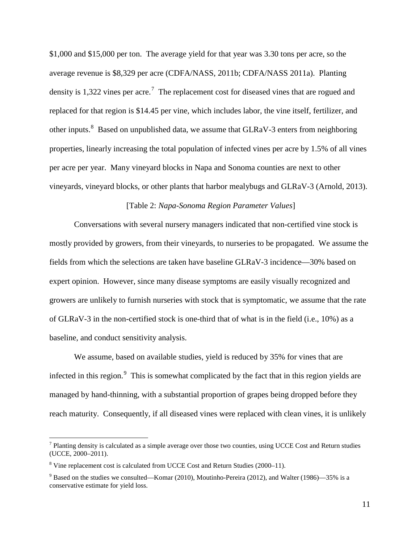\$1,000 and \$15,000 per ton. The average yield for that year was 3.30 tons per acre, so the average revenue is \$8,329 per acre (CDFA/NASS, 2011b; CDFA/NASS 2011a). Planting density is 1,322 vines per acre.<sup>[7](#page-12-0)</sup> The replacement cost for diseased vines that are rogued and replaced for that region is \$14.45 per vine, which includes labor, the vine itself, fertilizer, and other inputs.<sup>[8](#page-12-1)</sup> Based on unpublished data, we assume that GLRaV-3 enters from neighboring properties, linearly increasing the total population of infected vines per acre by 1.5% of all vines per acre per year. Many vineyard blocks in Napa and Sonoma counties are next to other vineyards, vineyard blocks, or other plants that harbor mealybugs and GLRaV-3 [\(Arnold, 2013\)](#page-23-7).

## [Table 2: *Napa-Sonoma Region Parameter Values*]

Conversations with several nursery managers indicated that non-certified vine stock is mostly provided by growers, from their vineyards, to nurseries to be propagated. We assume the fields from which the selections are taken have baseline GLRaV-3 incidence—30% based on expert opinion. However, since many disease symptoms are easily visually recognized and growers are unlikely to furnish nurseries with stock that is symptomatic, we assume that the rate of GLRaV-3 in the non-certified stock is one-third that of what is in the field (i.e., 10%) as a baseline, and conduct sensitivity analysis.

We assume, based on available studies, yield is reduced by 35% for vines that are infected in this region.<sup>[9](#page-12-2)</sup> This is somewhat complicated by the fact that in this region yields are managed by hand-thinning, with a substantial proportion of grapes being dropped before they reach maturity. Consequently, if all diseased vines were replaced with clean vines, it is unlikely

<span id="page-12-0"></span> $<sup>7</sup>$  Planting density is calculated as a simple average over those two counties, using UCCE Cost and Return studies</sup> (UCCE, 2000–2011).

<span id="page-12-1"></span><sup>&</sup>lt;sup>8</sup> Vine replacement cost is calculated from UCCE Cost and Return Studies (2000–11).

<span id="page-12-2"></span> $9$  Based on the studies we consulted—Komar (2010), Moutinho-Pereira (2012), and Walter (1986)—35% is a conservative estimate for yield loss.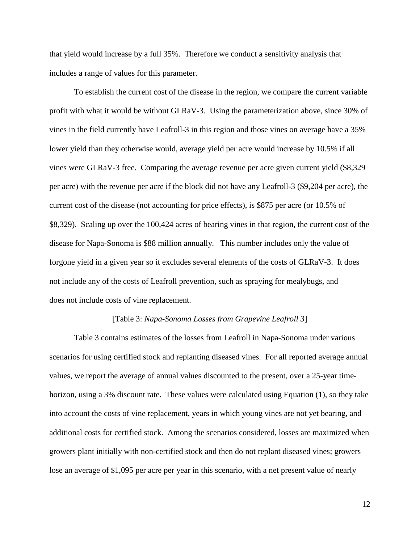that yield would increase by a full 35%. Therefore we conduct a sensitivity analysis that includes a range of values for this parameter.

To establish the current cost of the disease in the region, we compare the current variable profit with what it would be without GLRaV-3. Using the parameterization above, since 30% of vines in the field currently have Leafroll-3 in this region and those vines on average have a 35% lower yield than they otherwise would, average yield per acre would increase by 10.5% if all vines were GLRaV-3 free. Comparing the average revenue per acre given current yield (\$8,329 per acre) with the revenue per acre if the block did not have any Leafroll-3 (\$9,204 per acre), the current cost of the disease (not accounting for price effects), is \$875 per acre (or 10.5% of \$8,329). Scaling up over the 100,424 acres of bearing vines in that region, the current cost of the disease for Napa-Sonoma is \$88 million annually. This number includes only the value of forgone yield in a given year so it excludes several elements of the costs of GLRaV-3. It does not include any of the costs of Leafroll prevention, such as spraying for mealybugs, and does not include costs of vine replacement.

### [Table 3: *Napa-Sonoma Losses from Grapevine Leafroll 3*]

Table 3 contains estimates of the losses from Leafroll in Napa-Sonoma under various scenarios for using certified stock and replanting diseased vines. For all reported average annual values, we report the average of annual values discounted to the present, over a 25-year timehorizon, using a 3% discount rate. These values were calculated using Equation (1), so they take into account the costs of vine replacement, years in which young vines are not yet bearing, and additional costs for certified stock. Among the scenarios considered, losses are maximized when growers plant initially with non-certified stock and then do not replant diseased vines; growers lose an average of \$1,095 per acre per year in this scenario, with a net present value of nearly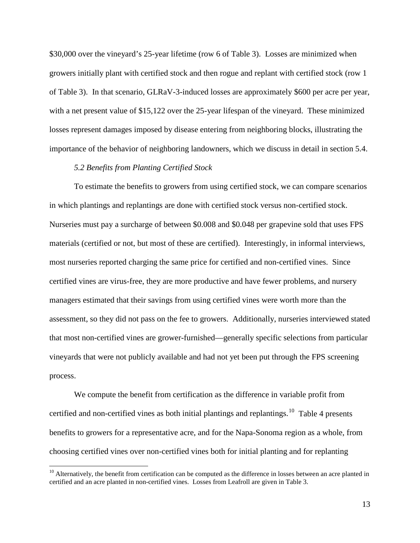\$30,000 over the vineyard's 25-year lifetime (row 6 of Table 3). Losses are minimized when growers initially plant with certified stock and then rogue and replant with certified stock (row 1 of Table 3). In that scenario, GLRaV-3-induced losses are approximately \$600 per acre per year, with a net present value of \$15,122 over the 25-year lifespan of the vineyard. These minimized losses represent damages imposed by disease entering from neighboring blocks, illustrating the importance of the behavior of neighboring landowners, which we discuss in detail in section 5.4.

## *5.2 Benefits from Planting Certified Stock*

To estimate the benefits to growers from using certified stock, we can compare scenarios in which plantings and replantings are done with certified stock versus non-certified stock. Nurseries must pay a surcharge of between \$0.008 and \$0.048 per grapevine sold that uses FPS materials (certified or not, but most of these are certified). Interestingly, in informal interviews, most nurseries reported charging the same price for certified and non-certified vines. Since certified vines are virus-free, they are more productive and have fewer problems, and nursery managers estimated that their savings from using certified vines were worth more than the assessment, so they did not pass on the fee to growers. Additionally, nurseries interviewed stated that most non-certified vines are grower-furnished—generally specific selections from particular vineyards that were not publicly available and had not yet been put through the FPS screening process.

We compute the benefit from certification as the difference in variable profit from certified and non-certified vines as both initial plantings and replantings.<sup>[10](#page-14-0)</sup> Table 4 presents benefits to growers for a representative acre, and for the Napa-Sonoma region as a whole, from choosing certified vines over non-certified vines both for initial planting and for replanting

<span id="page-14-0"></span> $10$  Alternatively, the benefit from certification can be computed as the difference in losses between an acre planted in certified and an acre planted in non-certified vines. Losses from Leafroll are given in Table 3.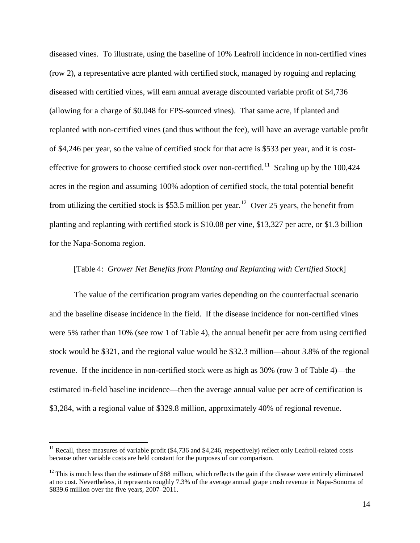diseased vines. To illustrate, using the baseline of 10% Leafroll incidence in non-certified vines (row 2), a representative acre planted with certified stock, managed by roguing and replacing diseased with certified vines, will earn annual average discounted variable profit of \$4,736 (allowing for a charge of \$0.048 for FPS-sourced vines). That same acre, if planted and replanted with non-certified vines (and thus without the fee), will have an average variable profit of \$4,246 per year, so the value of certified stock for that acre is \$533 per year, and it is costeffective for growers to choose certified stock over non-certified.<sup>11</sup> Scaling up by the 100,424 acres in the region and assuming 100% adoption of certified stock, the total potential benefit from utilizing the certified stock is \$53.5 million per year.<sup>12</sup> Over 25 years, the benefit from planting and replanting with certified stock is \$10.08 per vine, \$13,327 per acre, or \$1.3 billion for the Napa-Sonoma region.

### [Table 4: *Grower Net Benefits from Planting and Replanting with Certified Stock*]

The value of the certification program varies depending on the counterfactual scenario and the baseline disease incidence in the field. If the disease incidence for non-certified vines were 5% rather than 10% (see row 1 of Table 4), the annual benefit per acre from using certified stock would be \$321, and the regional value would be \$32.3 million—about 3.8% of the regional revenue. If the incidence in non-certified stock were as high as 30% (row 3 of Table 4)—the estimated in-field baseline incidence—then the average annual value per acre of certification is \$3,284, with a regional value of \$329.8 million, approximately 40% of regional revenue.

<span id="page-15-0"></span><sup>&</sup>lt;sup>11</sup> Recall, these measures of variable profit (\$4,736 and \$4,246, respectively) reflect only Leafroll-related costs because other variable costs are held constant for the purposes of our comparison.

<span id="page-15-1"></span><sup>&</sup>lt;sup>12</sup> This is much less than the estimate of \$88 million, which reflects the gain if the disease were entirely eliminated at no cost. Nevertheless, it represents roughly 7.3% of the average annual grape crush revenue in Napa-Sonoma of \$839.6 million over the five years, 2007–2011.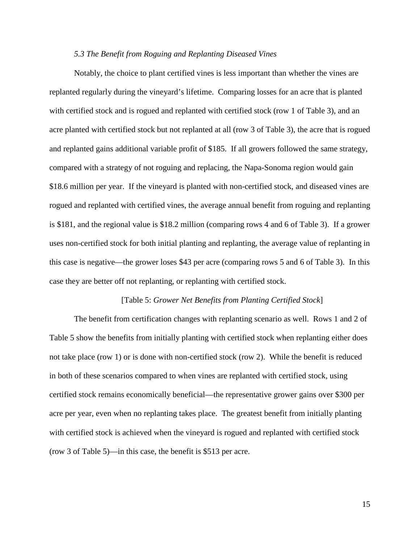#### *5.3 The Benefit from Roguing and Replanting Diseased Vines*

Notably, the choice to plant certified vines is less important than whether the vines are replanted regularly during the vineyard's lifetime. Comparing losses for an acre that is planted with certified stock and is rogued and replanted with certified stock (row 1 of Table 3), and an acre planted with certified stock but not replanted at all (row 3 of Table 3), the acre that is rogued and replanted gains additional variable profit of \$185. If all growers followed the same strategy, compared with a strategy of not roguing and replacing, the Napa-Sonoma region would gain \$18.6 million per year. If the vineyard is planted with non-certified stock, and diseased vines are rogued and replanted with certified vines, the average annual benefit from roguing and replanting is \$181, and the regional value is \$18.2 million (comparing rows 4 and 6 of Table 3). If a grower uses non-certified stock for both initial planting and replanting, the average value of replanting in this case is negative—the grower loses \$43 per acre (comparing rows 5 and 6 of Table 3). In this case they are better off not replanting, or replanting with certified stock.

### [Table 5: *Grower Net Benefits from Planting Certified Stock*]

The benefit from certification changes with replanting scenario as well. Rows 1 and 2 of Table 5 show the benefits from initially planting with certified stock when replanting either does not take place (row 1) or is done with non-certified stock (row 2). While the benefit is reduced in both of these scenarios compared to when vines are replanted with certified stock, using certified stock remains economically beneficial—the representative grower gains over \$300 per acre per year, even when no replanting takes place. The greatest benefit from initially planting with certified stock is achieved when the vineyard is rogued and replanted with certified stock (row 3 of Table 5)—in this case, the benefit is \$513 per acre.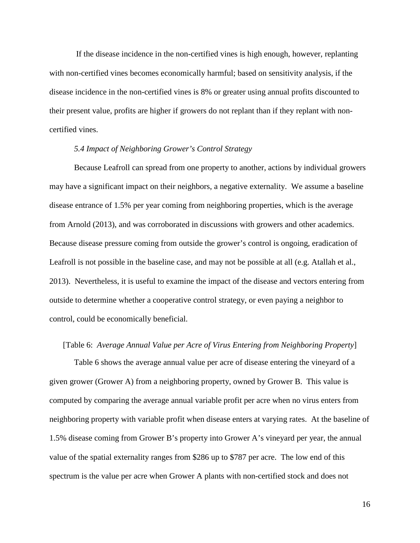If the disease incidence in the non-certified vines is high enough, however, replanting with non-certified vines becomes economically harmful; based on sensitivity analysis, if the disease incidence in the non-certified vines is 8% or greater using annual profits discounted to their present value, profits are higher if growers do not replant than if they replant with noncertified vines.

## *5.4 Impact of Neighboring Grower's Control Strategy*

Because Leafroll can spread from one property to another, actions by individual growers may have a significant impact on their neighbors, a negative externality. We assume a baseline disease entrance of 1.5% per year coming from neighboring properties, which is the average from Arnold [\(2013\)](#page-23-7), and was corroborated in discussions with growers and other academics. Because disease pressure coming from outside the grower's control is ongoing, eradication of Leafroll is not possible in the baseline case, and may not be possible at all (e.g. Atallah et al., 2013). Nevertheless, it is useful to examine the impact of the disease and vectors entering from outside to determine whether a cooperative control strategy, or even paying a neighbor to control, could be economically beneficial.

## [Table 6: *Average Annual Value per Acre of Virus Entering from Neighboring Property*]

Table 6 shows the average annual value per acre of disease entering the vineyard of a given grower (Grower A) from a neighboring property, owned by Grower B. This value is computed by comparing the average annual variable profit per acre when no virus enters from neighboring property with variable profit when disease enters at varying rates. At the baseline of 1.5% disease coming from Grower B's property into Grower A's vineyard per year, the annual value of the spatial externality ranges from \$286 up to \$787 per acre. The low end of this spectrum is the value per acre when Grower A plants with non-certified stock and does not

16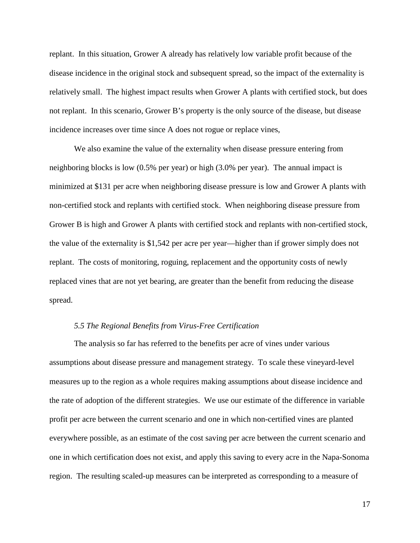replant. In this situation, Grower A already has relatively low variable profit because of the disease incidence in the original stock and subsequent spread, so the impact of the externality is relatively small. The highest impact results when Grower A plants with certified stock, but does not replant. In this scenario, Grower B's property is the only source of the disease, but disease incidence increases over time since A does not rogue or replace vines,

We also examine the value of the externality when disease pressure entering from neighboring blocks is low (0.5% per year) or high (3.0% per year). The annual impact is minimized at \$131 per acre when neighboring disease pressure is low and Grower A plants with non-certified stock and replants with certified stock. When neighboring disease pressure from Grower B is high and Grower A plants with certified stock and replants with non-certified stock, the value of the externality is \$1,542 per acre per year—higher than if grower simply does not replant. The costs of monitoring, roguing, replacement and the opportunity costs of newly replaced vines that are not yet bearing, are greater than the benefit from reducing the disease spread.

## *5.5 The Regional Benefits from Virus-Free Certification*

The analysis so far has referred to the benefits per acre of vines under various assumptions about disease pressure and management strategy. To scale these vineyard-level measures up to the region as a whole requires making assumptions about disease incidence and the rate of adoption of the different strategies. We use our estimate of the difference in variable profit per acre between the current scenario and one in which non-certified vines are planted everywhere possible, as an estimate of the cost saving per acre between the current scenario and one in which certification does not exist, and apply this saving to every acre in the Napa-Sonoma region. The resulting scaled-up measures can be interpreted as corresponding to a measure of

17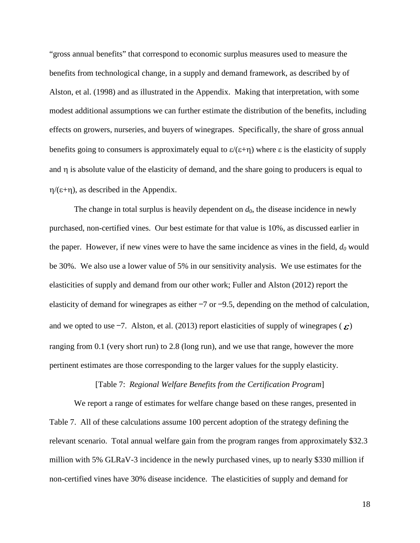"gross annual benefits" that correspond to economic surplus measures used to measure the benefits from technological change, in a supply and demand framework, as described by of Alston, et al. [\(1998\)](#page-23-4) and as illustrated in the Appendix. Making that interpretation, with some modest additional assumptions we can further estimate the distribution of the benefits, including effects on growers, nurseries, and buyers of winegrapes. Specifically, the share of gross annual benefits going to consumers is approximately equal to  $\varepsilon/(\varepsilon+\eta)$  where  $\varepsilon$  is the elasticity of supply and  $\eta$  is absolute value of the elasticity of demand, and the share going to producers is equal to  $η/(ε+η)$ , as described in the Appendix.

The change in total surplus is heavily dependent on  $d_0$ , the disease incidence in newly purchased, non-certified vines. Our best estimate for that value is 10%, as discussed earlier in the paper. However, if new vines were to have the same incidence as vines in the field,  $d_0$  would be 30%. We also use a lower value of 5% in our sensitivity analysis. We use estimates for the elasticities of supply and demand from our other work; Fuller and Alston [\(2012\)](#page-24-10) report the elasticity of demand for winegrapes as either −7 or −9.5, depending on the method of calculation, and we opted to use  $-7$ . Alston, et al. [\(2013\)](#page-23-8) report elasticities of supply of winegrapes ( $\epsilon$ ) ranging from 0.1 (very short run) to 2.8 (long run), and we use that range, however the more pertinent estimates are those corresponding to the larger values for the supply elasticity.

# [Table 7: *Regional Welfare Benefits from the Certification Program*]

We report a range of estimates for welfare change based on these ranges, presented in Table 7. All of these calculations assume 100 percent adoption of the strategy defining the relevant scenario. Total annual welfare gain from the program ranges from approximately \$32.3 million with 5% GLRaV-3 incidence in the newly purchased vines, up to nearly \$330 million if non-certified vines have 30% disease incidence. The elasticities of supply and demand for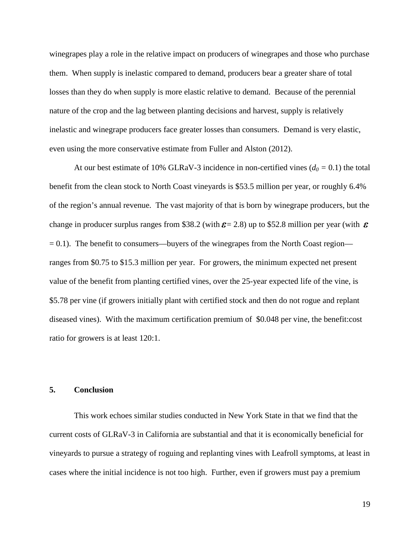winegrapes play a role in the relative impact on producers of winegrapes and those who purchase them. When supply is inelastic compared to demand, producers bear a greater share of total losses than they do when supply is more elastic relative to demand. Because of the perennial nature of the crop and the lag between planting decisions and harvest, supply is relatively inelastic and winegrape producers face greater losses than consumers. Demand is very elastic, even using the more conservative estimate from Fuller and Alston [\(2012\)](#page-24-10).

At our best estimate of 10% GLRaV-3 incidence in non-certified vines ( $d_0 = 0.1$ ) the total benefit from the clean stock to North Coast vineyards is \$53.5 million per year, or roughly 6.4% of the region's annual revenue. The vast majority of that is born by winegrape producers, but the change in producer surplus ranges from \$38.2 (with  $\varepsilon$  = 2.8) up to \$52.8 million per year (with  $\varepsilon$  $= 0.1$ ). The benefit to consumers—buyers of the winegrapes from the North Coast region ranges from \$0.75 to \$15.3 million per year. For growers, the minimum expected net present value of the benefit from planting certified vines, over the 25-year expected life of the vine, is \$5.78 per vine (if growers initially plant with certified stock and then do not rogue and replant diseased vines). With the maximum certification premium of \$0.048 per vine, the benefit:cost ratio for growers is at least 120:1.

## **5. Conclusion**

This work echoes similar studies conducted in New York State in that we find that the current costs of GLRaV-3 in California are substantial and that it is economically beneficial for vineyards to pursue a strategy of roguing and replanting vines with Leafroll symptoms, at least in cases where the initial incidence is not too high. Further, even if growers must pay a premium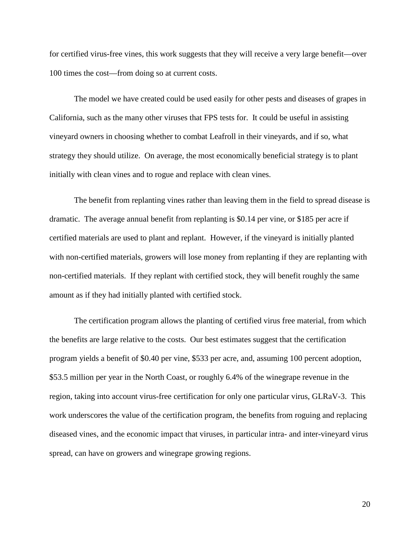for certified virus-free vines, this work suggests that they will receive a very large benefit—over 100 times the cost—from doing so at current costs.

The model we have created could be used easily for other pests and diseases of grapes in California, such as the many other viruses that FPS tests for. It could be useful in assisting vineyard owners in choosing whether to combat Leafroll in their vineyards, and if so, what strategy they should utilize. On average, the most economically beneficial strategy is to plant initially with clean vines and to rogue and replace with clean vines.

The benefit from replanting vines rather than leaving them in the field to spread disease is dramatic. The average annual benefit from replanting is \$0.14 per vine, or \$185 per acre if certified materials are used to plant and replant. However, if the vineyard is initially planted with non-certified materials, growers will lose money from replanting if they are replanting with non-certified materials. If they replant with certified stock, they will benefit roughly the same amount as if they had initially planted with certified stock.

The certification program allows the planting of certified virus free material, from which the benefits are large relative to the costs. Our best estimates suggest that the certification program yields a benefit of \$0.40 per vine, \$533 per acre, and, assuming 100 percent adoption, \$53.5 million per year in the North Coast, or roughly 6.4% of the winegrape revenue in the region, taking into account virus-free certification for only one particular virus, GLRaV-3. This work underscores the value of the certification program, the benefits from roguing and replacing diseased vines, and the economic impact that viruses, in particular intra- and inter-vineyard virus spread, can have on growers and winegrape growing regions.

20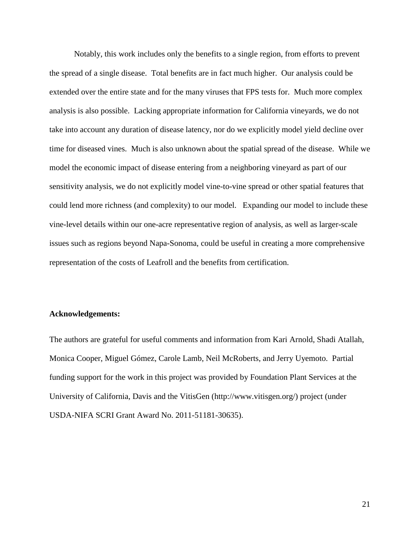Notably, this work includes only the benefits to a single region, from efforts to prevent the spread of a single disease. Total benefits are in fact much higher. Our analysis could be extended over the entire state and for the many viruses that FPS tests for. Much more complex analysis is also possible. Lacking appropriate information for California vineyards, we do not take into account any duration of disease latency, nor do we explicitly model yield decline over time for diseased vines. Much is also unknown about the spatial spread of the disease. While we model the economic impact of disease entering from a neighboring vineyard as part of our sensitivity analysis, we do not explicitly model vine-to-vine spread or other spatial features that could lend more richness (and complexity) to our model. Expanding our model to include these vine-level details within our one-acre representative region of analysis, as well as larger-scale issues such as regions beyond Napa-Sonoma, could be useful in creating a more comprehensive representation of the costs of Leafroll and the benefits from certification.

### **Acknowledgements:**

The authors are grateful for useful comments and information from Kari Arnold, Shadi Atallah, Monica Cooper, Miguel Gómez, Carole Lamb, Neil McRoberts, and Jerry Uyemoto. Partial funding support for the work in this project was provided by Foundation Plant Services at the University of California, Davis and the VitisGen (http://www.vitisgen.org/) project (under USDA-NIFA SCRI Grant Award No. 2011-51181-30635).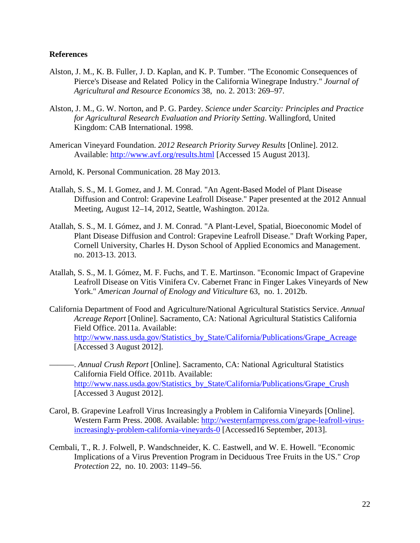## **References**

- <span id="page-23-8"></span>Alston, J. M., K. B. Fuller, J. D. Kaplan, and K. P. Tumber. "The Economic Consequences of Pierce's Disease and Related Policy in the California Winegrape Industry." *Journal of Agricultural and Resource Economics* 38, no. 2. 2013: 269–97.
- <span id="page-23-4"></span>Alston, J. M., G. W. Norton, and P. G. Pardey. *Science under Scarcity: Principles and Practice for Agricultural Research Evaluation and Priority Setting*. Wallingford, United Kingdom: CAB International. 1998.
- <span id="page-23-0"></span>American Vineyard Foundation. *2012 Research Priority Survey Results* [Online]. 2012. Available:<http://www.avf.org/results.html> [Accessed 15 August 2013].
- <span id="page-23-7"></span>Arnold, K. Personal Communication. 28 May 2013.
- <span id="page-23-5"></span>Atallah, S. S., M. I. Gomez, and J. M. Conrad. "An Agent-Based Model of Plant Disease Diffusion and Control: Grapevine Leafroll Disease." Paper presented at the 2012 Annual Meeting, August 12–14, 2012, Seattle, Washington. 2012a.
- <span id="page-23-6"></span>Atallah, S. S., M. I. Gómez, and J. M. Conrad. "A Plant-Level, Spatial, Bioeconomic Model of Plant Disease Diffusion and Control: Grapevine Leafroll Disease." Draft Working Paper, Cornell University, Charles H. Dyson School of Applied Economics and Management. no. 2013-13. 2013.
- <span id="page-23-2"></span>Atallah, S. S., M. I. Gómez, M. F. Fuchs, and T. E. Martinson. "Economic Impact of Grapevine Leafroll Disease on Vitis Vinifera Cv. Cabernet Franc in Finger Lakes Vineyards of New York." *American Journal of Enology and Viticulture* 63, no. 1. 2012b.
- <span id="page-23-9"></span>California Department of Food and Agriculture/National Agricultural Statistics Service. *Annual Acreage Report* [Online]. Sacramento, CA: National Agricultural Statistics California Field Office. 2011a. Available: [http://www.nass.usda.gov/Statistics\\_by\\_State/California/Publications/Grape\\_Acreage](http://www.nass.usda.gov/Statistics_by_State/California/Publications/Grape_Acreage) [Accessed 3 August 2012].
- <span id="page-23-10"></span>———. *Annual Crush Report* [Online]. Sacramento, CA: National Agricultural Statistics California Field Office. 2011b. Available: [http://www.nass.usda.gov/Statistics\\_by\\_State/California/Publications/Grape\\_Crush](http://www.nass.usda.gov/Statistics_by_State/California/Publications/Grape_Crush) [Accessed 3 August 2012].
- <span id="page-23-1"></span>Carol, B. Grapevine Leafroll Virus Increasingly a Problem in California Vineyards [Online]. Western Farm Press. 2008. Available: [http://westernfarmpress.com/grape-leafroll-virus](http://westernfarmpress.com/grape-leafroll-virus-increasingly-problem-california-vineyards-0)[increasingly-problem-california-vineyards-0](http://westernfarmpress.com/grape-leafroll-virus-increasingly-problem-california-vineyards-0) [Accessed16 September, 2013].
- <span id="page-23-3"></span>Cembali, T., R. J. Folwell, P. Wandschneider, K. C. Eastwell, and W. E. Howell. "Economic Implications of a Virus Prevention Program in Deciduous Tree Fruits in the US." *Crop Protection* 22, no. 10. 2003: 1149–56.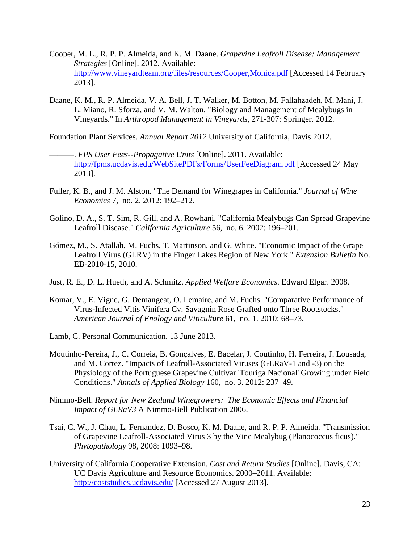- <span id="page-24-4"></span>Cooper, M. L., R. P. P. Almeida, and K. M. Daane. *Grapevine Leafroll Disease: Management Strategies* [Online]. 2012. Available: <http://www.vineyardteam.org/files/resources/Cooper,Monica.pdf> [Accessed 14 February 2013].
- <span id="page-24-5"></span>Daane, K. M., R. P. Almeida, V. A. Bell, J. T. Walker, M. Botton, M. Fallahzadeh, M. Mani, J. L. Miano, R. Sforza, and V. M. Walton. "Biology and Management of Mealybugs in Vineyards." In *Arthropod Management in Vineyards*, 271-307: Springer. 2012.

<span id="page-24-6"></span>Foundation Plant Services. *Annual Report 2012* University of California, Davis 2012.

- <span id="page-24-8"></span>———. *FPS User Fees--Propagative Units* [Online]. 2011. Available: <http://fpms.ucdavis.edu/WebSitePDFs/Forms/UserFeeDiagram.pdf> [Accessed 24 May 2013].
- <span id="page-24-10"></span>Fuller, K. B., and J. M. Alston. "The Demand for Winegrapes in California." *Journal of Wine Economics* 7, no. 2. 2012: 192–212.
- <span id="page-24-3"></span>Golino, D. A., S. T. Sim, R. Gill, and A. Rowhani. "California Mealybugs Can Spread Grapevine Leafroll Disease." *California Agriculture* 56, no. 6. 2002: 196–201.
- <span id="page-24-11"></span>Gómez, M., S. Atallah, M. Fuchs, T. Martinson, and G. White. "Economic Impact of the Grape Leafroll Virus (GLRV) in the Finger Lakes Region of New York." *Extension Bulletin* No. EB-2010-15, 2010.
- <span id="page-24-12"></span>Just, R. E., D. L. Hueth, and A. Schmitz. *Applied Welfare Economics*. Edward Elgar. 2008.
- <span id="page-24-1"></span>Komar, V., E. Vigne, G. Demangeat, O. Lemaire, and M. Fuchs. "Comparative Performance of Virus-Infected Vitis Vinifera Cv. Savagnin Rose Grafted onto Three Rootstocks." *American Journal of Enology and Viticulture* 61, no. 1. 2010: 68–73.
- <span id="page-24-9"></span>Lamb, C. Personal Communication. 13 June 2013.
- <span id="page-24-2"></span>Moutinho-Pereira, J., C. Correia, B. Gonçalves, E. Bacelar, J. Coutinho, H. Ferreira, J. Lousada, and M. Cortez. "Impacts of Leafroll-Associated Viruses (GLRaV-1 and -3) on the Physiology of the Portuguese Grapevine Cultivar 'Touriga Nacional' Growing under Field Conditions." *Annals of Applied Biology* 160, no. 3. 2012: 237–49.
- <span id="page-24-7"></span>Nimmo-Bell. *Report for New Zealand Winegrowers: The Economic Effects and Financial Impact of GLRaV3* A Nimmo-Bell Publication 2006.
- <span id="page-24-0"></span>Tsai, C. W., J. Chau, L. Fernandez, D. Bosco, K. M. Daane, and R. P. P. Almeida. "Transmission of Grapevine Leafroll-Associated Virus 3 by the Vine Mealybug (Planococcus ficus)." *Phytopathology* 98, 2008: 1093–98.
- University of California Cooperative Extension. *Cost and Return Studies* [Online]. Davis, CA: UC Davis Agriculture and Resource Economics. 2000–2011. Available: <http://coststudies.ucdavis.edu/> [Accessed 27 August 2013].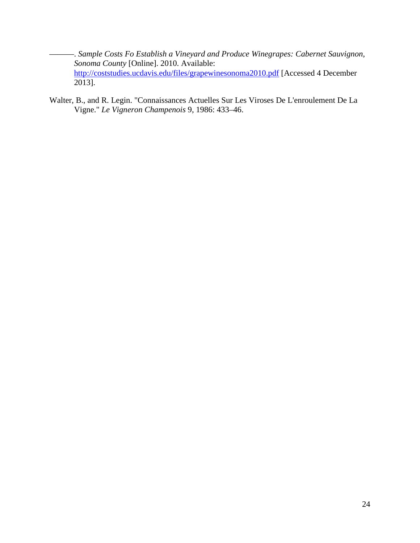- <span id="page-25-1"></span>———. *Sample Costs Fo Establish a Vineyard and Produce Winegrapes: Cabernet Sauvignon, Sonoma County* [Online]. 2010. Available: <http://coststudies.ucdavis.edu/files/grapewinesonoma2010.pdf> [Accessed 4 December 2013].
- <span id="page-25-0"></span>Walter, B., and R. Legin. "Connaissances Actuelles Sur Les Viroses De L'enroulement De La Vigne." *Le Vigneron Champenois* 9, 1986: 433–46.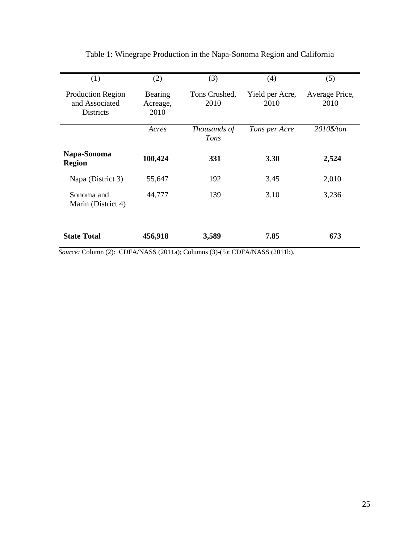| (1)                                                            | (2)                         | (3)                   | (4)                     | (5)                    |
|----------------------------------------------------------------|-----------------------------|-----------------------|-------------------------|------------------------|
| <b>Production Region</b><br>and Associated<br><b>Districts</b> | Bearing<br>Acreage,<br>2010 | Tons Crushed,<br>2010 | Yield per Acre,<br>2010 | Average Price,<br>2010 |
|                                                                | Acres                       | Thousands of<br>Tons  | Tons per Acre           | 2010\$/ton             |
| Napa-Sonoma<br><b>Region</b>                                   | 100,424                     | <b>331</b>            | <b>3.30</b>             | 2,524                  |
| Napa (District 3)                                              | 55,647                      | 192                   | 3.45                    | 2,010                  |
| Sonoma and<br>Marin (District 4)                               | 44,777                      | 139                   | 3.10                    | 3,236                  |
| <b>State Total</b>                                             | 456,918                     | 3,589                 | 7.85                    | 673                    |

Table 1: Winegrape Production in the Napa-Sonoma Region and California

*Source:* Column (2): CDFA/NASS [\(2011a\)](#page-23-9); Columns (3)-(5): CDFA/NASS [\(2011b\)](#page-23-10).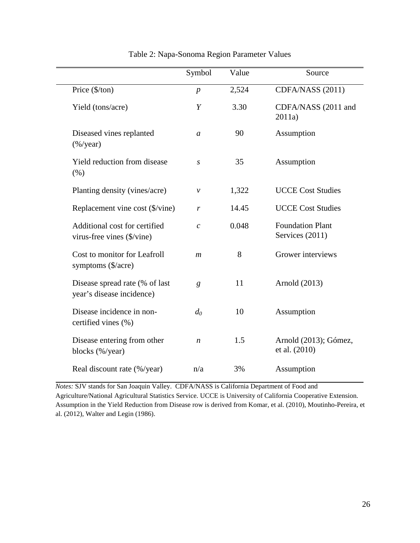|                                                             | Symbol           | Value | Source                                     |
|-------------------------------------------------------------|------------------|-------|--------------------------------------------|
| Price $(\frac{5}{tan})$                                     | $\boldsymbol{p}$ | 2,524 | CDFA/NASS (2011)                           |
| Yield (tons/acre)                                           | Y                | 3.30  | CDFA/NASS (2011 and<br>2011a)              |
| Diseased vines replanted<br>$(\frac{9}{6}$ /year)           | $\mathfrak a$    | 90    | Assumption                                 |
| Yield reduction from disease<br>(% )                        | S                | 35    | Assumption                                 |
| Planting density (vines/acre)                               | ν                | 1,322 | <b>UCCE Cost Studies</b>                   |
| Replacement vine cost (\$/vine)                             | r                | 14.45 | <b>UCCE Cost Studies</b>                   |
| Additional cost for certified<br>virus-free vines (\$/vine) | $\mathcal{C}$    | 0.048 | <b>Foundation Plant</b><br>Services (2011) |
| Cost to monitor for Leafroll<br>symptoms (\$/acre)          | $\mathfrak{m}$   | 8     | Grower interviews                          |
| Disease spread rate (% of last<br>year's disease incidence) | g                | 11    | Arnold (2013)                              |
| Disease incidence in non-<br>certified vines (%)            | $d_0$            | 10    | Assumption                                 |
| Disease entering from other<br>blocks (%/year)              | $\boldsymbol{n}$ | 1.5   | Arnold (2013); Gómez,<br>et al. (2010)     |
| Real discount rate (%/year)                                 | n/a              | 3%    | Assumption                                 |

Table 2: Napa-Sonoma Region Parameter Values

*Notes:* SJV stands for San Joaquin Valley. CDFA/NASS is California Department of Food and Agriculture/National Agricultural Statistics Service. UCCE is University of California Cooperative Extension. Assumption in the Yield Reduction from Disease row is derived from Komar, et al. [\(2010\)](#page-24-1), Moutinho-Pereira, et al. [\(2012\)](#page-24-2), Walter and Legin [\(1986\)](#page-25-0).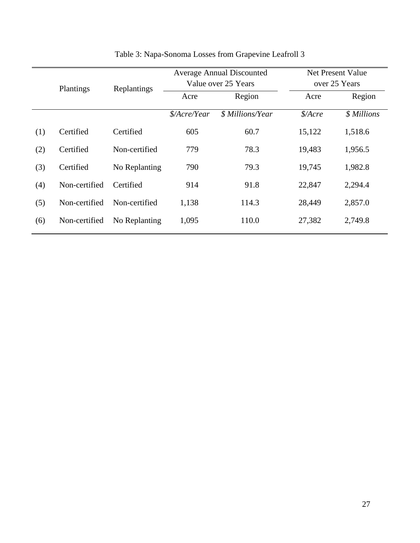| Plantings |               | Replantings   |                                        | <b>Average Annual Discounted</b><br>Value over 25 Years |            | Net Present Value<br>over 25 Years |  |
|-----------|---------------|---------------|----------------------------------------|---------------------------------------------------------|------------|------------------------------------|--|
|           |               | Acre          | Region                                 | Acre                                                    | Region     |                                    |  |
|           |               |               | $\frac{\mathcal{S}}{\text{Acre/Year}}$ | <i><b>\$ Millions/Year</b></i>                          | $$/Arcr$ e | \$ Millions                        |  |
| (1)       | Certified     | Certified     | 605                                    | 60.7                                                    | 15,122     | 1,518.6                            |  |
| (2)       | Certified     | Non-certified | 779                                    | 78.3                                                    | 19,483     | 1,956.5                            |  |
| (3)       | Certified     | No Replanting | 790                                    | 79.3                                                    | 19,745     | 1,982.8                            |  |
| (4)       | Non-certified | Certified     | 914                                    | 91.8                                                    | 22,847     | 2,294.4                            |  |
| (5)       | Non-certified | Non-certified | 1,138                                  | 114.3                                                   | 28,449     | 2,857.0                            |  |
| (6)       | Non-certified | No Replanting | 1,095                                  | 110.0                                                   | 27,382     | 2,749.8                            |  |

# Table 3: Napa-Sonoma Losses from Grapevine Leafroll 3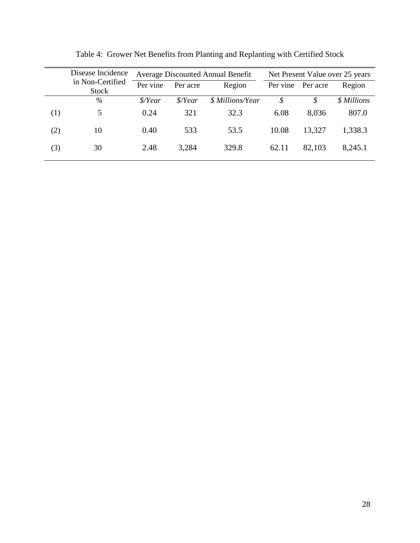| Disease Incidence |                                  | <b>Average Discounted Annual Benefit</b> |                         |                  | Net Present Value over 25 years |          |             |
|-------------------|----------------------------------|------------------------------------------|-------------------------|------------------|---------------------------------|----------|-------------|
|                   | in Non-Certified<br><b>Stock</b> | Per vine                                 | Per acre                | Region           | Per vine                        | Per acre | Region      |
|                   | $\%$                             | $\frac{\mathcal{S}}{Year}$               | $\frac{\delta}{\delta}$ | \$ Millions/Year | \$                              | \$       | \$ Millions |
| (1)               | 5                                | 0.24                                     | 321                     | 32.3             | 6.08                            | 8,036    | 807.0       |
| (2)               | 10                               | 0.40                                     | 533                     | 53.5             | 10.08                           | 13,327   | 1,338.3     |
| (3)               | 30                               | 2.48                                     | 3,284                   | 329.8            | 62.11                           | 82,103   | 8,245.1     |

Table 4: Grower Net Benefits from Planting and Replanting with Certified Stock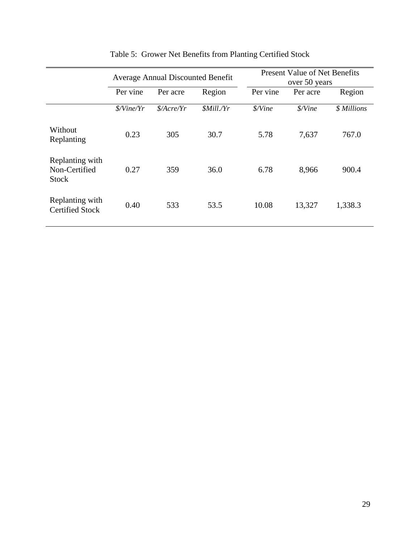|                                           | <b>Average Annual Discounted Benefit</b> |                                   |                          | <b>Present Value of Net Benefits</b><br>over 50 years |          |             |
|-------------------------------------------|------------------------------------------|-----------------------------------|--------------------------|-------------------------------------------------------|----------|-------------|
|                                           | Per vine                                 | Per acre                          | Region                   | Per vine                                              | Per acre | Region      |
|                                           | <i><i>S</i>/Vine/Yr</i>                  | $\frac{\mathcal{S}}{\text{Area}}$ | <i><b>\$Mill./Yr</b></i> | \$/Vine                                               | \$/Vine  | \$ Millions |
| Without<br>Replanting                     | 0.23                                     | 305                               | 30.7                     | 5.78                                                  | 7,637    | 767.0       |
| Replanting with<br>Non-Certified<br>Stock | 0.27                                     | 359                               | 36.0                     | 6.78                                                  | 8,966    | 900.4       |
| Replanting with<br><b>Certified Stock</b> | 0.40                                     | 533                               | 53.5                     | 10.08                                                 | 13,327   | 1,338.3     |

# Table 5: Grower Net Benefits from Planting Certified Stock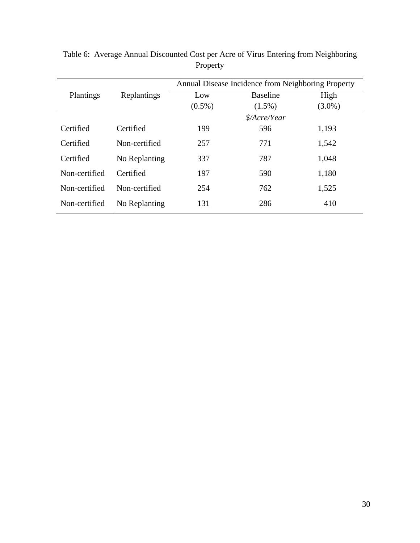|               |               | Annual Disease Incidence from Neighboring Property |                 |           |  |
|---------------|---------------|----------------------------------------------------|-----------------|-----------|--|
| Plantings     | Replantings   | Low                                                | <b>Baseline</b> | High      |  |
|               |               | $(0.5\%)$                                          | $(1.5\%)$       | $(3.0\%)$ |  |
|               |               | \$/Acre/Year                                       |                 |           |  |
| Certified     | Certified     | 199                                                | 596             | 1,193     |  |
| Certified     | Non-certified | 257                                                | 771             | 1,542     |  |
| Certified     | No Replanting | 337                                                | 787             | 1,048     |  |
| Non-certified | Certified     | 197                                                | 590             | 1,180     |  |
| Non-certified | Non-certified | 254                                                | 762             | 1,525     |  |
| Non-certified | No Replanting | 131                                                | 286             | 410       |  |

Table 6: Average Annual Discounted Cost per Acre of Virus Entering from Neighboring Property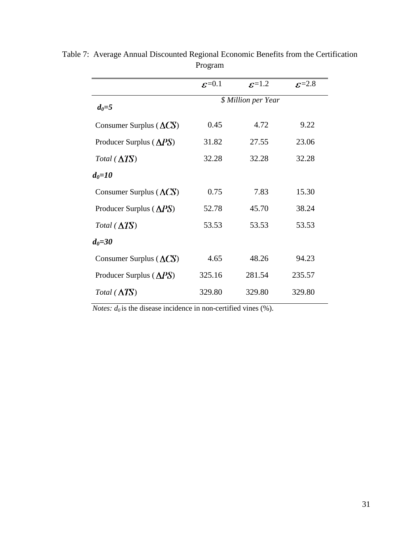|                                   | $\varepsilon = 0.1$ | $\epsilon$ =1.2                   | $\varepsilon = 2.8$ |  |  |
|-----------------------------------|---------------------|-----------------------------------|---------------------|--|--|
| $d_0 = 5$                         |                     | <i><b>\$ Million per Year</b></i> |                     |  |  |
| Consumer Surplus $(\triangle CS)$ | 0.45                | 4.72                              | 9.22                |  |  |
| Producer Surplus $(\triangle PS)$ | 31.82               | 27.55                             | 23.06               |  |  |
| Total $(\Delta TS)$               | 32.28               | 32.28                             | 32.28               |  |  |
| $d_{\theta} = 10$                 |                     |                                   |                     |  |  |
| Consumer Surplus $(\Delta CS)$    | 0.75                | 7.83                              | 15.30               |  |  |
| Producer Surplus $(\Delta PS)$    | 52.78               | 45.70                             | 38.24               |  |  |
| Total $(\Delta TS)$               | 53.53               | 53.53                             | 53.53               |  |  |
| $d_{\theta} = 30$                 |                     |                                   |                     |  |  |
| Consumer Surplus $(\triangle CS)$ | 4.65                | 48.26                             | 94.23               |  |  |
| Producer Surplus $(\Delta PS)$    | 325.16              | 281.54                            | 235.57              |  |  |
| Total $(\Delta TS)$               | 329.80              | 329.80                            | 329.80              |  |  |
|                                   |                     |                                   |                     |  |  |

Table 7: Average Annual Discounted Regional Economic Benefits from the Certification Program

*Notes:*  $d_0$  is the disease incidence in non-certified vines (%).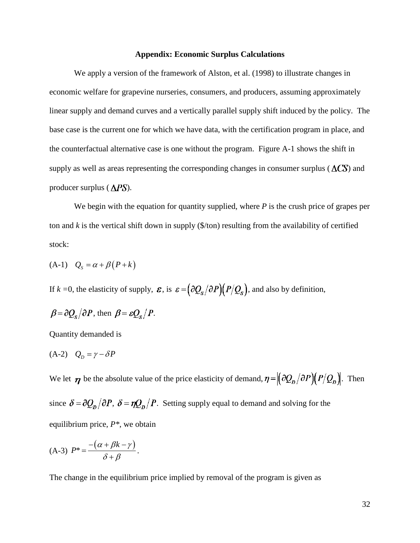### **Appendix: Economic Surplus Calculations**

We apply a version of the framework of Alston, et al. [\(1998\)](#page-23-4) to illustrate changes in economic welfare for grapevine nurseries, consumers, and producers, assuming approximately linear supply and demand curves and a vertically parallel supply shift induced by the policy. The base case is the current one for which we have data, with the certification program in place, and the counterfactual alternative case is one without the program. Figure A-1 shows the shift in supply as well as areas representing the corresponding changes in consumer surplus ( $\Lambda$  $\Gamma$ S) and producer surplus ( $\triangle PS$ ).

We begin with the equation for quantity supplied, where *P* is the crush price of grapes per ton and *k* is the vertical shift down in supply (\$/ton) resulting from the availability of certified stock:

$$
(A-1) QS = \alpha + \beta (P + k)
$$

If  $k = 0$ , the elasticity of supply,  $\varepsilon$ , is  $\varepsilon = (\partial Q_s / \partial P)(P/Q_s)$ , and also by definition,

$$
\beta = \frac{\partial Q_s}{\partial P}
$$
, then  $\beta = \varepsilon Q_s / P$ .

Quantity demanded is

$$
(A-2) \quad Q_D = \gamma - \delta P
$$

We let  $\eta$  be the absolute value of the price elasticity of demand,  $\eta = \left(\frac{\partial Q_D}{\partial P}\right)(P/Q_D)$ . Then since  $\delta = \frac{\partial Q_D}{\partial P}$ ,  $\delta = \frac{\eta Q_D}{P}$ . Setting supply equal to demand and solving for the equilibrium price, *P\**, we obtain

$$
(A-3) P^* = \frac{-(\alpha + \beta k - \gamma)}{\delta + \beta}.
$$

The change in the equilibrium price implied by removal of the program is given as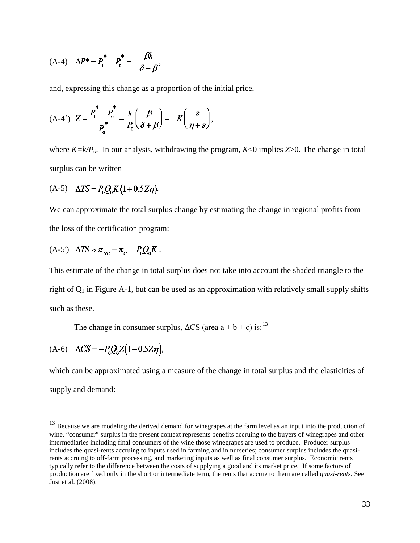(A-4) 
$$
\Delta P^* = P_1^* - P_0^* = -\frac{\beta k}{\delta + \beta}
$$

and, expressing this change as a proportion of the initial price,

 $\sim$ 

$$
(A-4')\ \ Z = \frac{P_1^* - P_0^*}{P_0^*} = \frac{k}{P_0} \left(\frac{\beta}{\delta + \beta}\right) = -K \left(\frac{\varepsilon}{\eta + \varepsilon}\right),
$$

where  $K = k/P_0$ . In our analysis, withdrawing the program,  $K < 0$  implies  $Z > 0$ . The change in total surplus can be written

(A-5) 
$$
\Delta TS = P_0 Q_0 K (1 + 0.5 Z \eta)
$$
.

We can approximate the total surplus change by estimating the change in regional profits from the loss of the certification program:

$$
(A-5') \quad \Delta TS \approx \pi_{_{NC}} - \pi_{_{C}} = P_0 Q_0 K \; .
$$

This estimate of the change in total surplus does not take into account the shaded triangle to the right of  $Q_1$  in Figure A-1, but can be used as an approximation with relatively small supply shifts such as these.

The change in consumer surplus,  $\Delta CS$  (area  $a + b + c$ ) is:<sup>[13](#page-34-0)</sup>

(A-6) 
$$
\Delta CS = -P_0 Q_0 Z (1 - 0.5 Z \eta),
$$

which can be approximated using a measure of the change in total surplus and the elasticities of supply and demand:

<span id="page-34-0"></span><sup>&</sup>lt;sup>13</sup> Because we are modeling the derived demand for winegrapes at the farm level as an input into the production of wine, "consumer" surplus in the present context represents benefits accruing to the buyers of winegrapes and other intermediaries including final consumers of the wine those winegrapes are used to produce. Producer surplus includes the quasi-rents accruing to inputs used in farming and in nurseries; consumer surplus includes the quasirents accruing to off-farm processing, and marketing inputs as well as final consumer surplus. Economic rents typically refer to the difference between the costs of supplying a good and its market price. If some factors of production are fixed only in the short or intermediate term, the rents that accrue to them are called *quasi-rents.* See Just et al. [\(2008\)](#page-24-12).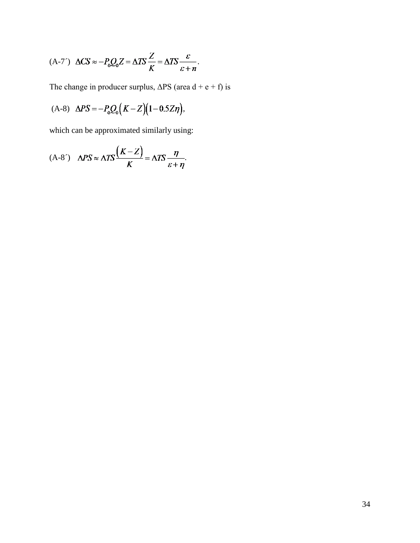$$
(A-7') \Delta CS \approx -P_0 Q_0 Z = \Delta TS \frac{Z}{K} = \Delta TS \frac{\varepsilon}{\varepsilon + n}.
$$

The change in producer surplus,  $\Delta PS$  (area d + e + f) is

(A-8) 
$$
\Delta PS = -P_0 Q_0 (K - Z) (1 - 0.5 Z \eta),
$$

which can be approximated similarly using:

$$
(A-8') \quad \Delta PS \approx \Delta TS \frac{(K-Z)}{K} = \Delta TS \frac{\eta}{\varepsilon + \eta}.
$$